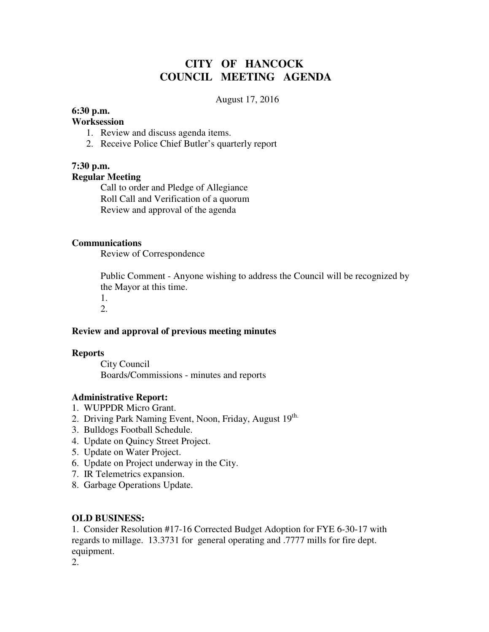# **CITY OF HANCOCK COUNCIL MEETING AGENDA**

### August 17, 2016

### **6:30 p.m.**

## **Worksession**

- 1. Review and discuss agenda items.
- 2. Receive Police Chief Butler's quarterly report

## **7:30 p.m.**

### **Regular Meeting**

 Call to order and Pledge of Allegiance Roll Call and Verification of a quorum Review and approval of the agenda

#### **Communications**

Review of Correspondence

 Public Comment - Anyone wishing to address the Council will be recognized by the Mayor at this time.

1.

# 2.

### **Review and approval of previous meeting minutes**

### **Reports**

City Council Boards/Commissions - minutes and reports

### **Administrative Report:**

- 1. WUPPDR Micro Grant.
- 2. Driving Park Naming Event, Noon, Friday, August 19th.
- 3. Bulldogs Football Schedule.
- 4. Update on Quincy Street Project.
- 5. Update on Water Project.
- 6. Update on Project underway in the City.
- 7. IR Telemetrics expansion.
- 8. Garbage Operations Update.

### **OLD BUSINESS:**

1. Consider Resolution #17-16 Corrected Budget Adoption for FYE 6-30-17 with regards to millage. 13.3731 for general operating and .7777 mills for fire dept. equipment.

2.